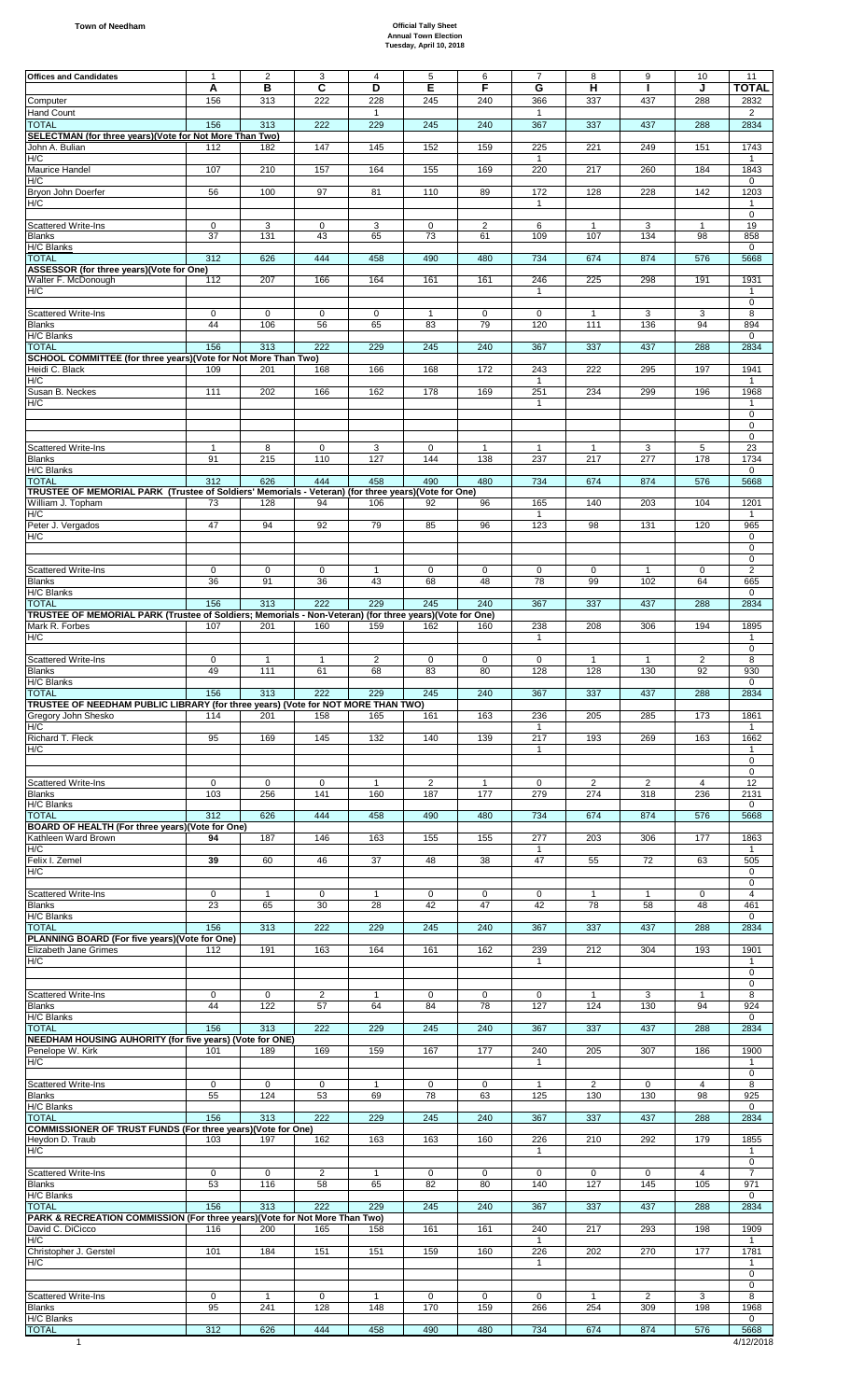| <b>Offices and Candidates</b>                                                                                             | $\mathbf{1}$<br>A  | $\overline{2}$<br>в | 3<br>$\overline{\mathbf{c}}$ | 4<br>D             | 5<br>Έ             | 6<br>F              | $\overline{7}$<br>G | 8<br>ਸ                | 9               | 10<br>J                 | 11<br><b>TOTAL</b>         |
|---------------------------------------------------------------------------------------------------------------------------|--------------------|---------------------|------------------------------|--------------------|--------------------|---------------------|---------------------|-----------------------|-----------------|-------------------------|----------------------------|
| Computer                                                                                                                  | 156                | 313                 | 222                          | 228                | 245                | 240                 | 366                 | 337                   | 437             | 288                     | 2832                       |
| <b>Hand Count</b><br>TOTAL                                                                                                | 156                | 313                 | 222                          | 1<br>229           | 245                | 240                 | $\mathbf{1}$<br>367 | 337                   | 437             | 288                     | $\overline{2}$<br>2834     |
| SELECTMAN (for three years)(Vote for Not More Than Two)                                                                   |                    |                     |                              |                    |                    |                     |                     |                       |                 |                         |                            |
| John A. Bulian<br>H/C                                                                                                     | 112                | 182                 | 147                          | 145                | 152                | 159                 | 225<br>1            | 221                   | 249             | 151                     | 1743<br>1                  |
| Maurice Handel                                                                                                            | 107                | 210                 | 157                          | 164                | 155                | 169                 | 220                 | 217                   | 260             | 184                     | 1843                       |
| H/C<br>Bryon John Doerfer                                                                                                 | 56                 | 100                 | 97                           | 81                 | 110                | 89                  | 172                 | 128                   | 228             | 142                     | 0<br>1203                  |
| H/C                                                                                                                       |                    |                     |                              |                    |                    |                     | 1                   |                       |                 |                         | 1                          |
| Scattered Write-Ins                                                                                                       | 0                  | 3                   | 0                            | 3                  | 0                  | 2                   | 6                   | $\overline{1}$        | 3               | $\mathbf{1}$            | $\mathbf 0$<br>19          |
| <b>Blanks</b>                                                                                                             | 37                 | 131                 | 43                           | 65                 | 73                 | 61                  | 109                 | 107                   | 134             | 98                      | 858                        |
| H/C Blanks<br><b>TOTAL</b>                                                                                                | 312                | 626                 | 444                          | 458                | 490                | 480                 | 734                 | 674                   | 874             | 576                     | $\mathbf 0$<br>5668        |
| ASSESSOR (for three years)(Vote for One)                                                                                  |                    |                     |                              |                    |                    |                     |                     |                       |                 |                         |                            |
| Walter F. McDonough<br>H/C                                                                                                | 112                | 207                 | 166                          | 164                | 161                | 161                 | 246<br>1            | 225                   | 298             | 191                     | 1931<br>-1                 |
|                                                                                                                           |                    |                     |                              |                    |                    |                     |                     |                       |                 |                         | $\mathbf 0$                |
| Scattered Write-Ins<br><b>Blanks</b>                                                                                      | 0<br>44            | 0<br>106            | $\mathbf 0$<br>56            | 0<br>65            | 1<br>83            | $\mathbf 0$<br>79   | $\mathbf 0$<br>120  | 1<br>111              | 3<br>136        | 3<br>94                 | 8<br>894                   |
| H/C Blanks                                                                                                                |                    |                     |                              |                    |                    |                     |                     |                       |                 |                         | 0                          |
| <b>TOTAL</b><br>SCHOOL COMMITTEE (for three years)(Vote for Not More Than Two)                                            | 156                | 313                 | 222                          | 229                | 245                | 240                 | 367                 | 337                   | 437             | 288                     | 2834                       |
| Heidi C. Black                                                                                                            | 109                | 201                 | 168                          | 166                | 168                | 172                 | 243                 | 222                   | 295             | 197                     | 1941                       |
| H/C<br>Susan B. Neckes                                                                                                    | 111                | 202                 | 166                          | 162                | 178                | 169                 | $\mathbf{1}$<br>251 | 234                   | 299             | 196                     | $\overline{1}$<br>1968     |
| H/C                                                                                                                       |                    |                     |                              |                    |                    |                     | $\mathbf{1}$        |                       |                 |                         | 1                          |
|                                                                                                                           |                    |                     |                              |                    |                    |                     |                     |                       |                 |                         | $\mathbf 0$<br>$\mathbf 0$ |
|                                                                                                                           |                    |                     |                              |                    |                    |                     |                     |                       |                 |                         | $\mathbf 0$                |
| <b>Scattered Write-Ins</b><br><b>Blanks</b>                                                                               | $\mathbf{1}$<br>91 | 8<br>215            | $\mathbf 0$<br>110           | 3<br>127           | $\mathbf 0$<br>144 | $\mathbf{1}$<br>138 | $\mathbf{1}$<br>237 | $\mathbf{1}$<br>217   | 3<br>277        | 5<br>178                | 23<br>1734                 |
| H/C Blanks                                                                                                                |                    |                     |                              |                    |                    |                     |                     |                       |                 |                         | $\mathbf 0$                |
| <b>TOTAL</b><br>TRUSTEE OF MEMORIAL PARK (Trustee of Soldiers' Memorials - Veteran) (for three years) (Vote for One)      | 312                | 626                 | 444                          | 458                | 490                | 480                 | 734                 | 674                   | 874             | 576                     | 5668                       |
| William J. Topham                                                                                                         | 73                 | 128                 | 94                           | 106                | 92                 | 96                  | 165                 | 140                   | 203             | 104                     | 1201                       |
| H/C<br>Peter J. Vergados                                                                                                  | 47                 | 94                  | 92                           | 79                 | 85                 | 96                  | 1<br>123            | 98                    | 131             | 120                     | $\mathbf{1}$<br>965        |
| H/C                                                                                                                       |                    |                     |                              |                    |                    |                     |                     |                       |                 |                         | 0                          |
|                                                                                                                           |                    |                     |                              |                    |                    |                     |                     |                       |                 |                         | 0<br>$\mathbf 0$           |
| <b>Scattered Write-Ins</b>                                                                                                | 0                  | $\mathbf 0$         | 0                            | $\mathbf{1}$       | $\mathbf 0$        | $\mathbf 0$         | $\mathbf 0$         | 0                     | $\mathbf{1}$    | 0                       | $\overline{2}$             |
| <b>Blanks</b><br>H/C Blanks                                                                                               | 36                 | 91                  | 36                           | 43                 | 68                 | 48                  | 78                  | 99                    | 102             | 64                      | 665<br>0                   |
| <b>TOTAL</b>                                                                                                              | 156                | 313                 | 222                          | 229                | 245                | 240                 | 367                 | 337                   | 437             | 288                     | 2834                       |
| TRUSTEE OF MEMORIAL PARK (Trustee of Soldiers; Memorials - Non-Veteran) (for three years)(Vote for One)<br>Mark R. Forbes | 107                | 201                 | 160                          | 159                | 162                | 160                 | 238                 | 208                   | 306             | 194                     | 1895                       |
| H/C                                                                                                                       |                    |                     |                              |                    |                    |                     | $\mathbf{1}$        |                       |                 |                         | 1                          |
| <b>Scattered Write-Ins</b>                                                                                                | 0                  | 1                   | $\mathbf{1}$                 | $\overline{c}$     | 0                  | 0                   | $\mathbf 0$         | 1                     | 1               | $\overline{\mathbf{c}}$ | 0<br>8                     |
| <b>Blanks</b>                                                                                                             | 49                 | 111                 | 61                           | 68                 | 83                 | 80                  | 128                 | 128                   | 130             | 92                      | 930                        |
| H/C Blanks<br><b>TOTAL</b>                                                                                                | 156                | 313                 | 222                          | 229                | 245                | 240                 | 367                 | 337                   | 437             | 288                     | 0<br>2834                  |
| TRUSTEE OF NEEDHAM PUBLIC LIBRARY (for three years) (Vote for NOT MORE THAN TWO)                                          |                    |                     |                              |                    |                    |                     |                     |                       |                 |                         |                            |
|                                                                                                                           |                    |                     |                              |                    |                    |                     |                     |                       |                 |                         |                            |
| Gregory John Shesko                                                                                                       | 114                | 201                 | 158                          | 165                | 161                | 163                 | 236                 | 205                   | 285             | 173                     | 1861                       |
| H/C<br>Richard T. Fleck                                                                                                   | 95                 | 169                 | 145                          | 132                | 140                | 139                 | $\mathbf{1}$<br>217 | 193                   | 269             | 163                     | $\mathbf{1}$<br>1662       |
| H/C                                                                                                                       |                    |                     |                              |                    |                    |                     | 1                   |                       |                 |                         | 1<br>$\mathbf 0$           |
|                                                                                                                           |                    |                     |                              |                    |                    |                     |                     |                       |                 |                         | $\mathbf 0$                |
| <b>Scattered Write-Ins</b>                                                                                                | $\mathbf 0$        | 0                   | $\mathbf 0$                  | 1                  | 2                  | $\mathbf{1}$        | 0                   | $\overline{2}$        | $\overline{2}$  | $\overline{4}$          | 12                         |
| <b>Blanks</b><br>H/C Blanks                                                                                               | 103                | 256                 | 141                          | 160                | 187                | 177                 | 279                 | 274                   | 318             | 236                     | 2131<br>$\mathbf 0$        |
| <b>TOTAL</b>                                                                                                              | 312                | 626                 | 444                          | 458                | 490                | 480                 | 734                 | 674                   | 874             | 576                     | 5668                       |
| BOARD OF HEALTH (For three years)(Vote for One)<br>Kathleen Ward Brown                                                    | 94                 | 187                 | 146                          | 163                | 155                | 155                 | 277                 | 203                   | 306             | 177                     | 1863                       |
| H/C                                                                                                                       |                    |                     |                              |                    |                    |                     | 1                   |                       |                 |                         | $\mathbf{1}$               |
| Felix I. Zemel<br>H/C                                                                                                     | 39                 | 60                  | 46                           | 37                 | 48                 | 38                  | 47                  | 55                    | $\overline{72}$ | 63                      | 505<br>$\mathbf 0$         |
| Scattered Write-Ins                                                                                                       | 0                  | 1                   | 0                            | 1                  | 0                  | 0                   | 0                   | 1                     | $\mathbf{1}$    | 0                       | $\mathbf 0$<br>4           |
| <b>Blanks</b>                                                                                                             | 23                 | 65                  | 30                           | 28                 | 42                 | 47                  | 42                  | 78                    | 58              | 48                      | 461                        |
| H/C Blanks<br><b>TOTAL</b>                                                                                                |                    |                     | 222                          | 229                |                    |                     |                     |                       |                 |                         | 0                          |
| PLANNING BOARD (For five years)(Vote for One)                                                                             | 156                | 313                 |                              |                    | 245                | 240                 | 367                 | 337                   | 437             | 288                     | 2834                       |
| Elizabeth Jane Grimes<br>H/C                                                                                              | 112                | 191                 | 163                          | 164                | 161                | 162                 | 239<br>$\mathbf{1}$ | 212                   | 304             | 193                     | 1901<br>-1                 |
|                                                                                                                           |                    |                     |                              |                    |                    |                     |                     |                       |                 |                         | $\mathbf 0$                |
| Scattered Write-Ins                                                                                                       | 0                  | 0                   | $\overline{c}$               | 1                  | 0                  | 0                   | 0                   | 1                     | 3               | 1                       | $\mathbf 0$<br>8           |
| <b>Blanks</b>                                                                                                             | 44                 | 122                 | 57                           | 64                 | 84                 | 78                  | 127                 | 124                   | 130             | 94                      | 924                        |
| H/C Blanks<br><b>TOTAL</b>                                                                                                | 156                | 313                 | 222                          | 229                | 245                | 240                 | 367                 | 337                   | 437             | 288                     | 0<br>2834                  |
| NEEDHAM HOUSING AUHORITY (for five years) (Vote for ONE)                                                                  |                    |                     |                              |                    |                    |                     |                     |                       |                 |                         |                            |
| Penelope W. Kirk<br>H/C                                                                                                   | 101                | 189                 | 169                          | 159                | 167                | 177                 | 240<br>$\mathbf{1}$ | 205                   | 307             | 186                     | 1900<br>1                  |
|                                                                                                                           |                    |                     |                              |                    |                    |                     |                     |                       |                 |                         | 0                          |
| Scattered Write-Ins<br><b>Blanks</b>                                                                                      | $\mathbf 0$<br>55  | $\mathbf 0$<br>124  | 0<br>53                      | $\mathbf{1}$<br>69 | $\mathbf 0$<br>78  | $\mathbf 0$<br>63   | $\mathbf{1}$<br>125 | $\overline{2}$<br>130 | 0<br>130        | 4<br>98                 | 8<br>925                   |
| H/C Blanks                                                                                                                |                    |                     |                              |                    |                    |                     |                     |                       |                 |                         | $\mathbf 0$                |
| <b>TOTAL</b><br>COMMISSIONER OF TRUST FUNDS (For three years)(Vote for One)                                               | 156                | 313                 | 222                          | 229                | 245                | 240                 | 367                 | 337                   | 437             | 288                     | 2834                       |
| Heydon D. Traub                                                                                                           | 103                | 197                 | 162                          | 163                | 163                | 160                 | 226                 | 210                   | 292             | 179                     | 1855                       |
| H/C                                                                                                                       |                    |                     |                              |                    |                    |                     | $\mathbf{1}$        |                       |                 |                         | $\mathbf{1}$<br>0          |
| Scattered Write-Ins                                                                                                       | 0                  | 0                   | $\overline{2}$               |                    | $\mathbf 0$        | 0                   | $\mathbf 0$         | $\mathbf 0$           | $\mathbf 0$     | 4                       | 7                          |
|                                                                                                                           | 53                 | 116                 | 58                           | 65                 | 82                 | 80                  | 140                 | 127                   | 145             | 105                     | 971<br>$\mathbf 0$         |
| <b>TOTAL</b>                                                                                                              | 156                | 313                 | 222                          | 229                | 245                | 240                 | 367                 | 337                   | 437             | 288                     | 2834                       |
| PARK & RECREATION COMMISSION (For three years)(Vote for Not More Than Two)<br>David C. DiCicco                            | 116                | 200                 | 165                          | 158                | 161                | 161                 | 240                 | 217                   | 293             | 198                     | 1909                       |
| H/C                                                                                                                       |                    |                     |                              |                    |                    |                     | 1                   |                       |                 |                         | -1                         |
| Christopher J. Gerstel                                                                                                    | 101                | 184                 | 151                          | 151                | 159                | 160                 | 226<br>$\mathbf{1}$ | 202                   | 270             | 177                     | 1781<br>1                  |
| <b>Blanks</b><br>H/C Blanks<br>H/C                                                                                        |                    |                     |                              |                    |                    |                     |                     |                       |                 |                         | 0                          |
| Scattered Write-Ins                                                                                                       | 0                  | 1                   | 0                            | 1                  | 0                  | 0                   | 0                   | 1                     | $\overline{c}$  | 3                       | $\mathbf 0$<br>8           |
| Blanks<br><b>H/C Blanks</b>                                                                                               | 95                 | 241                 | 128                          | 148                | 170                | 159                 | 266                 | 254                   | 309             | 198                     | 1968<br>$\mathbf 0$        |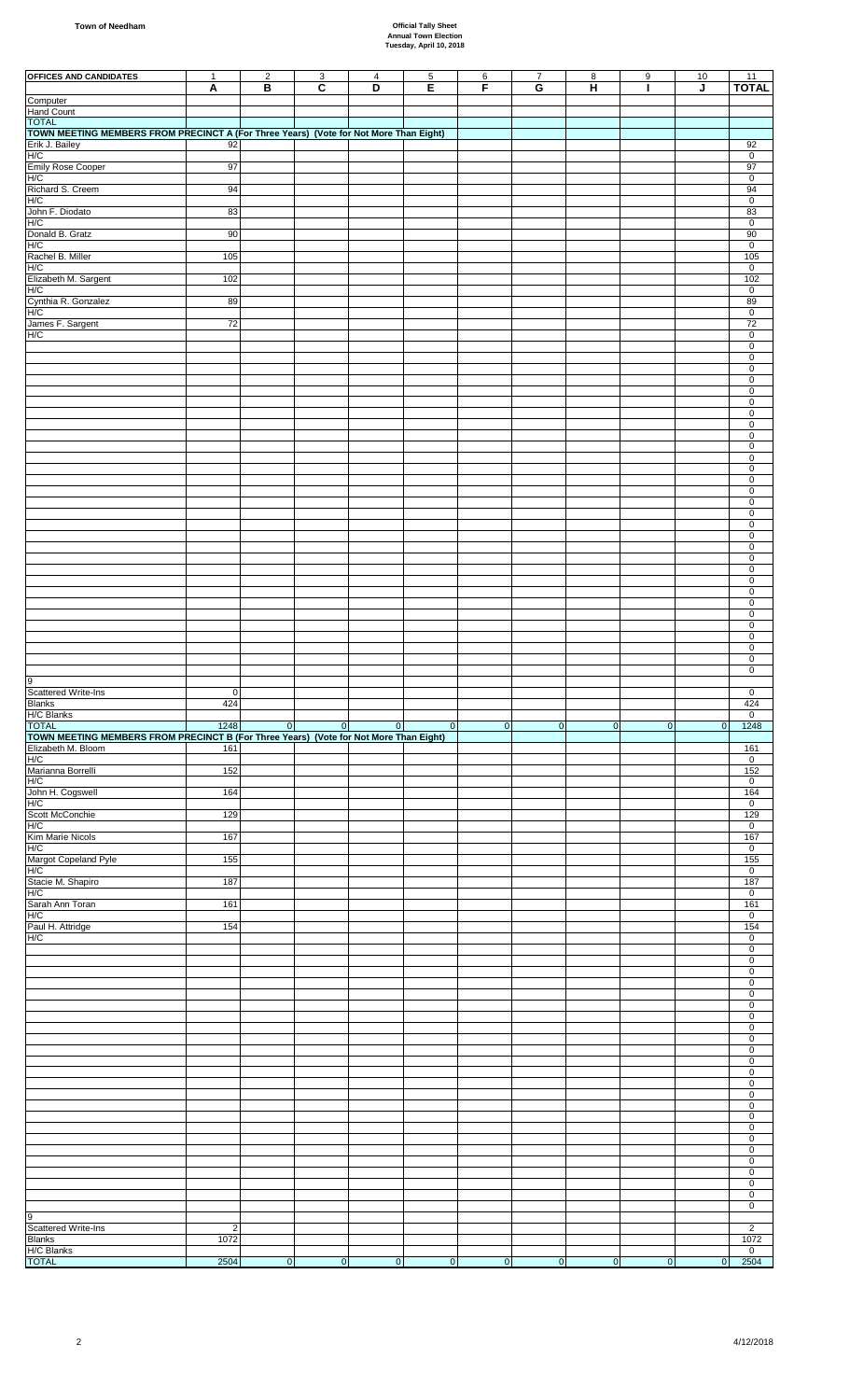| OFFICES AND CANDIDATES                                                                                | $\mathbf{1}$          | $\overline{c}$ | 3              | 4              | 5              | 6              | $\overline{7}$ | 8              | 9              | 10             | 11                          |
|-------------------------------------------------------------------------------------------------------|-----------------------|----------------|----------------|----------------|----------------|----------------|----------------|----------------|----------------|----------------|-----------------------------|
|                                                                                                       | A                     | в              | $\overline{c}$ | $\overline{D}$ | Е              | F              | G              | Н              | ı              | J              | <b>TOTAL</b>                |
| Computer<br><b>Hand Count</b>                                                                         |                       |                |                |                |                |                |                |                |                |                |                             |
| <b>TOTAL</b><br>TOWN MEETING MEMBERS FROM PRECINCT A (For Three Years) (Vote for Not More Than Eight) |                       |                |                |                |                |                |                |                |                |                |                             |
| Erik J. Bailey                                                                                        | 92                    |                |                |                |                |                |                |                |                |                | 92                          |
| H/C<br>Emily Rose Cooper                                                                              | 97                    |                |                |                |                |                |                |                |                |                | $\pmb{0}$<br>97             |
| H/C<br>Richard S. Creem                                                                               | 94                    |                |                |                |                |                |                |                |                |                | $\mathbf 0$<br>94           |
| H/C                                                                                                   |                       |                |                |                |                |                |                |                |                |                | $\overline{0}$              |
| John F. Diodato<br>H/C                                                                                | 83                    |                |                |                |                |                |                |                |                |                | 83<br>$\pmb{0}$             |
| Donald B. Gratz<br>H\C                                                                                | 90                    |                |                |                |                |                |                |                |                |                | 90<br>$\pmb{0}$             |
| Rachel B. Miller                                                                                      | 105                   |                |                |                |                |                |                |                |                |                | 105                         |
| H/C<br>Elizabeth M. Sargent                                                                           | 102                   |                |                |                |                |                |                |                |                |                | $\pmb{0}$<br>102            |
| H/C                                                                                                   |                       |                |                |                |                |                |                |                |                |                | $\mathbf 0$<br>89           |
| Cynthia R. Gonzalez<br>H/C                                                                            | 89                    |                |                |                |                |                |                |                |                |                | $\mathbf 0$                 |
| James F. Sargent<br>H/C                                                                               | 72                    |                |                |                |                |                |                |                |                |                | 72<br>$\mathbf 0$           |
|                                                                                                       |                       |                |                |                |                |                |                |                |                |                | $\mathbf 0$<br>$\mathbf 0$  |
|                                                                                                       |                       |                |                |                |                |                |                |                |                |                | $\pmb{0}$                   |
|                                                                                                       |                       |                |                |                |                |                |                |                |                |                | $\mathbf 0$<br>$\pmb{0}$    |
|                                                                                                       |                       |                |                |                |                |                |                |                |                |                | $\pmb{0}$                   |
|                                                                                                       |                       |                |                |                |                |                |                |                |                |                | $\mathbf 0$<br>$\pmb{0}$    |
|                                                                                                       |                       |                |                |                |                |                |                |                |                |                | $\pmb{0}$<br>$\pmb{0}$      |
|                                                                                                       |                       |                |                |                |                |                |                |                |                |                | 0                           |
|                                                                                                       |                       |                |                |                |                |                |                |                |                |                | $\pmb{0}$<br>0              |
|                                                                                                       |                       |                |                |                |                |                |                |                |                |                | $\pmb{0}$<br>$\pmb{0}$      |
|                                                                                                       |                       |                |                |                |                |                |                |                |                |                | $\mathbf 0$                 |
|                                                                                                       |                       |                |                |                |                |                |                |                |                |                | $\pmb{0}$<br>$\pmb{0}$      |
|                                                                                                       |                       |                |                |                |                |                |                |                |                |                | $\pmb{0}$<br>0              |
|                                                                                                       |                       |                |                |                |                |                |                |                |                |                | $\mathbf 0$                 |
|                                                                                                       |                       |                |                |                |                |                |                |                |                |                | $\mathbf 0$<br>$\mathbf 0$  |
|                                                                                                       |                       |                |                |                |                |                |                |                |                |                | $\mathbf 0$<br>$\mathbf 0$  |
|                                                                                                       |                       |                |                |                |                |                |                |                |                |                | $\mathbf 0$                 |
|                                                                                                       |                       |                |                |                |                |                |                |                |                |                | $\mathbf 0$<br>$\pmb{0}$    |
|                                                                                                       |                       |                |                |                |                |                |                |                |                |                | $\mathbf 0$<br>$\mathbf 0$  |
| Q                                                                                                     |                       |                |                |                |                |                |                |                |                |                |                             |
| Scattered Write-Ins<br><b>Blanks</b>                                                                  | $\overline{0}$<br>424 |                |                |                |                |                |                |                |                |                | $\overline{0}$<br>424       |
| H/C Blanks<br><b>TOTAL</b>                                                                            | 1248                  | $\overline{0}$ | $\overline{0}$ |                | $\mathbf 0$    | $\mathbf 0$    | $\mathbf{0}$   | $\mathbf 0$    | $\overline{0}$ | $\mathbf 0$    | $\mathbf 0$<br>1248         |
| TOWN MEETING MEMBERS FROM PRECINCT B (For Three Years) (Vote for Not More Than Eight)                 |                       |                |                | $\mathbf 0$    |                |                |                |                |                |                |                             |
| Elizabeth M. Bloom<br>H/C                                                                             | 161                   |                |                |                |                |                |                |                |                |                | 161<br>$\mathbf 0$          |
| Marianna Borrelli<br>H/C                                                                              | 152                   |                |                |                |                |                |                |                |                |                | 152<br>$\pmb{0}$            |
| John H. Cogswell                                                                                      | 164                   |                |                |                |                |                |                |                |                |                | 164                         |
| H/C<br>Scott McConchie                                                                                | 129                   |                |                |                |                |                |                |                |                |                | $\mathbf 0$<br>129          |
| H/C<br>Kim Marie Nicols                                                                               | 167                   |                |                |                |                |                |                |                |                |                | $\mathbf 0$<br>167          |
| H/C                                                                                                   |                       |                |                |                |                |                |                |                |                |                | $\mathbf 0$                 |
| Margot Copeland Pyle<br>H/C                                                                           | 155                   |                |                |                |                |                |                |                |                |                | 155<br>$\mathbf 0$          |
| Stacie M. Shapiro                                                                                     | 187                   |                |                |                |                |                |                |                |                |                | 187                         |
| H/C<br>Sarah Ann Toran                                                                                | 161                   |                |                |                |                |                |                |                |                |                | $\overline{0}$<br>161       |
| H/C<br>Paul H. Attridge                                                                               | 154                   |                |                |                |                |                |                |                |                |                | $\mathbf 0$<br>154          |
| H/C                                                                                                   |                       |                |                |                |                |                |                |                |                |                | $\mathbf 0$                 |
|                                                                                                       |                       |                |                |                |                |                |                |                |                |                | $\mathbf 0$<br>$\pmb{0}$    |
|                                                                                                       |                       |                |                |                |                |                |                |                |                |                | $\mathbf 0$<br>$\pmb{0}$    |
|                                                                                                       |                       |                |                |                |                |                |                |                |                |                | $\pmb{0}$                   |
|                                                                                                       |                       |                |                |                |                |                |                |                |                |                | $\mathbf 0$<br>$\pmb{0}$    |
|                                                                                                       |                       |                |                |                |                |                |                |                |                |                | $\pmb{0}$<br>$\mathbf 0$    |
|                                                                                                       |                       |                |                |                |                |                |                |                |                |                | $\pmb{0}$                   |
|                                                                                                       |                       |                |                |                |                |                |                |                |                |                | $\overline{0}$<br>$\pmb{0}$ |
|                                                                                                       |                       |                |                |                |                |                |                |                |                |                | $\pmb{0}$<br>$\overline{0}$ |
|                                                                                                       |                       |                |                |                |                |                |                |                |                |                | $\pmb{0}$                   |
|                                                                                                       |                       |                |                |                |                |                |                |                |                |                | $\pmb{0}$<br>$\mathbf 0$    |
|                                                                                                       |                       |                |                |                |                |                |                |                |                |                | $\mathbf 0$<br>$\mathbf 0$  |
|                                                                                                       |                       |                |                |                |                |                |                |                |                |                | $\overline{0}$              |
|                                                                                                       |                       |                |                |                |                |                |                |                |                |                | $\pmb{0}$<br>$\mathbf 0$    |
|                                                                                                       |                       |                |                |                |                |                |                |                |                |                | $\overline{0}$              |
| ø                                                                                                     |                       |                |                |                |                |                |                |                |                |                | $\pmb{0}$                   |
| <b>Scattered Write-Ins</b><br><b>Blanks</b>                                                           | 2<br>1072             |                |                |                |                |                |                |                |                |                | $\overline{2}$<br>1072      |
|                                                                                                       |                       |                |                |                |                |                |                |                |                |                |                             |
| H/C Blanks<br><b>TOTAL</b>                                                                            | 2504                  | $\overline{0}$ | $\overline{0}$ | $\mathbf{0}$   | $\overline{0}$ | $\overline{0}$ | $\overline{0}$ | $\overline{0}$ | $\overline{0}$ | $\overline{0}$ | $\mathbf 0$<br>2504         |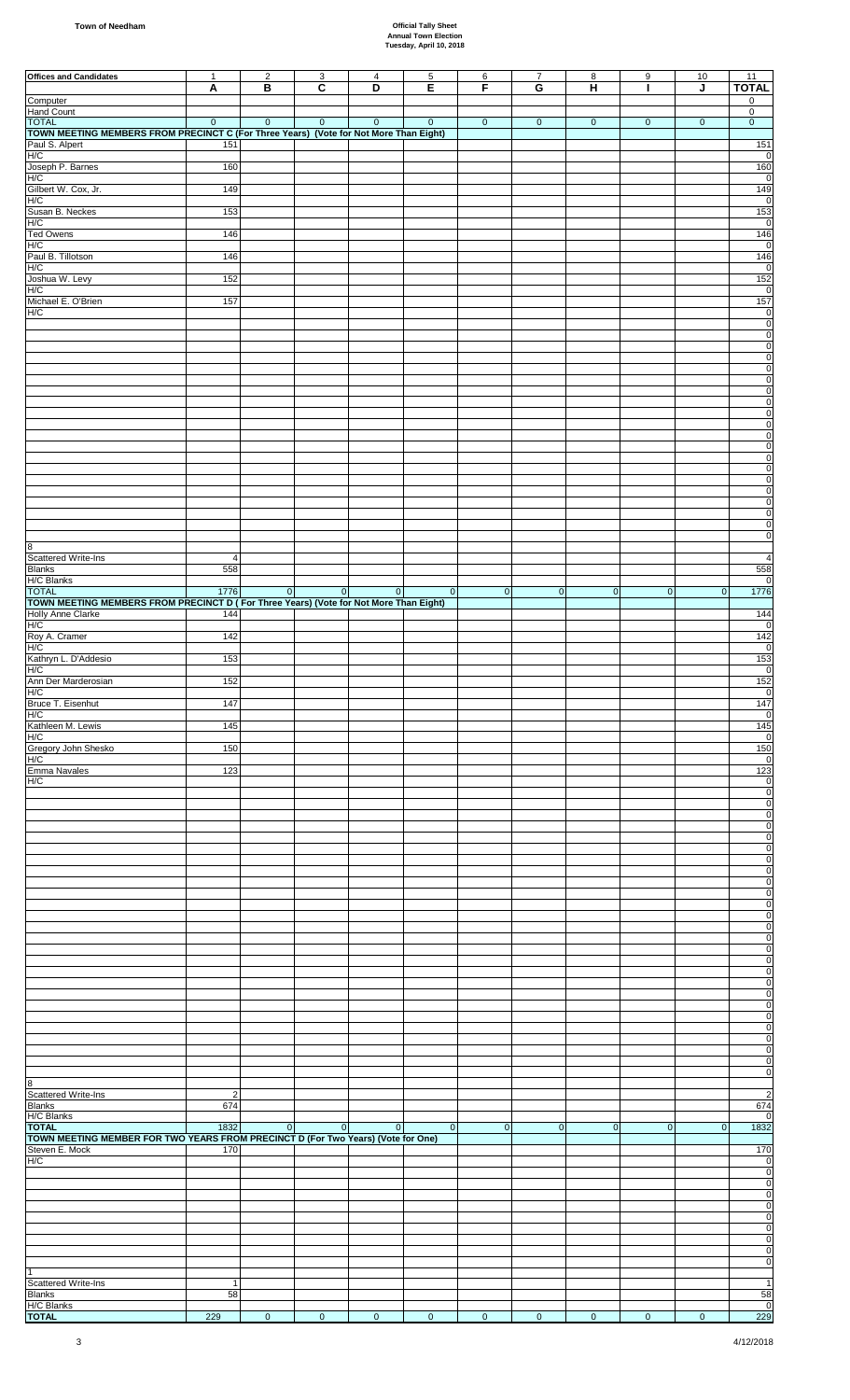| <b>Offices and Candidates</b>                                                                         | 1                              | $\overline{\mathbf{c}}$ | 3                       | 4              | 5              | 6              | 7                       | 8              | 9              | 10             | 11                                          |
|-------------------------------------------------------------------------------------------------------|--------------------------------|-------------------------|-------------------------|----------------|----------------|----------------|-------------------------|----------------|----------------|----------------|---------------------------------------------|
| Computer                                                                                              | Α                              | $\overline{B}$          | $\overline{\mathbf{c}}$ | D              | Ε              | F              | $\overline{\mathsf{G}}$ | $\overline{H}$ | $\mathbf{I}$   | J              | <b>TOTAL</b><br>0                           |
| <b>Hand Count</b>                                                                                     |                                |                         |                         |                |                |                |                         |                |                |                | 0                                           |
| <b>TOTAL</b><br>TOWN MEETING MEMBERS FROM PRECINCT C (For Three Years) (Vote for Not More Than Eight) | $\mathbf 0$                    | $\mathbf{0}$            | $\mathbf 0$             | $\mathbf 0$    | $\mathbf 0$    | $\mathbf 0$    | $\mathbf 0$             | $\mathbf 0$    | $\mathbf 0$    | $\mathbf 0$    | $\mathbf 0$                                 |
| Paul S. Alpert<br>H/C                                                                                 | 151                            |                         |                         |                |                |                |                         |                |                |                | 151<br>0                                    |
| Joseph P. Barnes                                                                                      | 160                            |                         |                         |                |                |                |                         |                |                |                | 160                                         |
| H/C<br>Gilbert W. Cox, Jr.                                                                            | 149                            |                         |                         |                |                |                |                         |                |                |                | $\overline{0}$<br>149                       |
| H/C<br>Susan B. Neckes                                                                                | 153                            |                         |                         |                |                |                |                         |                |                |                | $\pmb{0}$<br>153                            |
| H/C                                                                                                   |                                |                         |                         |                |                |                |                         |                |                |                | $\mathbf 0$                                 |
| <b>Ted Owens</b><br>H/C                                                                               | 146                            |                         |                         |                |                |                |                         |                |                |                | 146<br>$\mathbf 0$                          |
| Paul B. Tillotson<br>H/C                                                                              | 146                            |                         |                         |                |                |                |                         |                |                |                | 146<br>$\mathbf 0$                          |
| Joshua W. Levy                                                                                        | 152                            |                         |                         |                |                |                |                         |                |                |                | 152                                         |
| H/C<br>Michael E. O'Brien                                                                             | 157                            |                         |                         |                |                |                |                         |                |                |                | $\mathbf 0$<br>157                          |
| H/C                                                                                                   |                                |                         |                         |                |                |                |                         |                |                |                | $\overline{0}$<br>$\overline{0}$            |
|                                                                                                       |                                |                         |                         |                |                |                |                         |                |                |                | $\overline{0}$                              |
|                                                                                                       |                                |                         |                         |                |                |                |                         |                |                |                | $\overline{0}$<br>$\overline{0}$            |
|                                                                                                       |                                |                         |                         |                |                |                |                         |                |                |                | $\overline{0}$<br>$\boldsymbol{0}$          |
|                                                                                                       |                                |                         |                         |                |                |                |                         |                |                |                | $\overline{0}$                              |
|                                                                                                       |                                |                         |                         |                |                |                |                         |                |                |                | $\bf 0$<br>$\overline{0}$                   |
|                                                                                                       |                                |                         |                         |                |                |                |                         |                |                |                | $\overline{0}$<br>$\overline{0}$            |
|                                                                                                       |                                |                         |                         |                |                |                |                         |                |                |                | $\overline{0}$                              |
|                                                                                                       |                                |                         |                         |                |                |                |                         |                |                |                | $\overline{0}$<br>$\overline{0}$            |
|                                                                                                       |                                |                         |                         |                |                |                |                         |                |                |                | $\overline{0}$<br>$\overline{0}$            |
|                                                                                                       |                                |                         |                         |                |                |                |                         |                |                |                | $\boldsymbol{0}$                            |
|                                                                                                       |                                |                         |                         |                |                |                |                         |                |                |                | $\overline{0}$<br>$\overline{0}$            |
|                                                                                                       |                                |                         |                         |                |                |                |                         |                |                |                | $\overline{0}$                              |
| Scattered Write-Ins                                                                                   | 4                              |                         |                         |                |                |                |                         |                |                |                | $\overline{4}$                              |
| <b>Blanks</b><br>H/C Blanks                                                                           | 558                            |                         |                         |                |                |                |                         |                |                |                | 558<br>O                                    |
| <b>TOTAL</b><br>TOWN MEETING MEMBERS FROM PRECINCT D (For Three Years) (Vote for Not More Than Eight) | 1776                           | $\overline{0}$          | $\mathbf 0$             | $\overline{0}$ | $\mathbf 0$    | $\mathbf 0$    | $\mathbf 0$             | $\overline{0}$ | $\mathbf 0$    | $\overline{0}$ | 1776                                        |
| <b>Holly Anne Clarke</b>                                                                              | 144                            |                         |                         |                |                |                |                         |                |                |                | 144                                         |
| H/C<br>Roy A. Cramer                                                                                  | 142                            |                         |                         |                |                |                |                         |                |                |                | $\mathbf 0$<br>142                          |
| H/C<br>Kathryn L. D'Addesio                                                                           | 153                            |                         |                         |                |                |                |                         |                |                |                | $\pmb{0}$<br>153                            |
| H/C                                                                                                   |                                |                         |                         |                |                |                |                         |                |                |                | $\overline{0}$                              |
| Ann Der Marderosian<br>H/C                                                                            | 152                            |                         |                         |                |                |                |                         |                |                |                | $\frac{152}{0}$                             |
| Bruce T. Eisenhut<br>H/C                                                                              | $\frac{147}{2}$                |                         |                         |                |                |                |                         |                |                |                | 147<br>$\overline{0}$                       |
| Kathleen M. Lewis                                                                                     | 145                            |                         |                         |                |                |                |                         |                |                |                | 145                                         |
| H/C<br>Gregory John Shesko                                                                            | 150                            |                         |                         |                |                |                |                         |                |                |                | $\overline{0}$<br>$\frac{150}{0}$           |
| H/C<br>Emma Navales                                                                                   | 123                            |                         |                         |                |                |                |                         |                |                |                | 123                                         |
| H/C                                                                                                   |                                |                         |                         |                |                |                |                         |                |                |                | $\overline{0}$                              |
|                                                                                                       |                                |                         |                         |                |                |                |                         |                |                |                | $\overline{0}$<br>$\pmb{0}$                 |
|                                                                                                       |                                |                         |                         |                |                |                |                         |                |                |                | $\overline{0}$<br>$\pmb{0}$                 |
|                                                                                                       |                                |                         |                         |                |                |                |                         |                |                |                | $\pmb{0}$                                   |
|                                                                                                       |                                |                         |                         |                |                |                |                         |                |                |                | $\overline{\mathbf{0}}$<br>$\overline{0}$   |
|                                                                                                       |                                |                         |                         |                |                |                |                         |                |                |                | $\overline{\mathbf{0}}$<br>$\overline{0}$   |
|                                                                                                       |                                |                         |                         |                |                |                |                         |                |                |                | $\overline{0}$                              |
|                                                                                                       |                                |                         |                         |                |                |                |                         |                |                |                | $\overline{\mathbf{0}}$<br>$\overline{0}$   |
|                                                                                                       |                                |                         |                         |                |                |                |                         |                |                |                | $\bf 0$<br>$\overline{0}$                   |
|                                                                                                       |                                |                         |                         |                |                |                |                         |                |                |                | $\overline{0}$                              |
|                                                                                                       |                                |                         |                         |                |                |                |                         |                |                |                | $\overline{0}$<br>$\overline{\mathbf{0}}$   |
|                                                                                                       |                                |                         |                         |                |                |                |                         |                |                |                | $\overline{0}$<br>$\overline{0}$            |
|                                                                                                       |                                |                         |                         |                |                |                |                         |                |                |                | $\overline{\mathbf{0}}$                     |
|                                                                                                       |                                |                         |                         |                |                |                |                         |                |                |                | $\overline{0}$<br>$\pmb{0}$                 |
|                                                                                                       |                                |                         |                         |                |                |                |                         |                |                |                | $\overline{0}$<br>$\overline{0}$            |
|                                                                                                       |                                |                         |                         |                |                |                |                         |                |                |                | $\overline{0}$                              |
| 8                                                                                                     |                                |                         |                         |                |                |                |                         |                |                |                | $\overline{0}$                              |
| Scattered Write-Ins<br><b>Blanks</b>                                                                  | $\overline{\mathbf{c}}$<br>674 |                         |                         |                |                |                |                         |                |                |                | $\overline{2}$<br>674                       |
| <b>H/C Blanks</b>                                                                                     |                                |                         |                         |                |                |                |                         |                |                |                | $\overline{0}$                              |
| <b>TOTAL</b><br>TOWN MEETING MEMBER FOR TWO YEARS FROM PRECINCT D (For Two Years) (Vote for One)      | 1832                           | $\overline{0}$          | $\mathbf 0$             | $\overline{0}$ | $\overline{0}$ | $\mathbf{0}$   | $\mathbf{0}$            | $\mathbf{0}$   | $\overline{0}$ | $\mathbf 0$    | 1832                                        |
| Steven E. Mock<br>H/C                                                                                 | 170                            |                         |                         |                |                |                |                         |                |                |                | 170<br>$\overline{0}$                       |
|                                                                                                       |                                |                         |                         |                |                |                |                         |                |                |                | $\overline{0}$                              |
|                                                                                                       |                                |                         |                         |                |                |                |                         |                |                |                | $\boldsymbol{0}$<br>$\overline{\mathbf{0}}$ |
|                                                                                                       |                                |                         |                         |                |                |                |                         |                |                |                | $\pmb{0}$<br>$\overline{0}$                 |
|                                                                                                       |                                |                         |                         |                |                |                |                         |                |                |                | $\pmb{0}$                                   |
|                                                                                                       |                                |                         |                         |                |                |                |                         |                |                |                | $\overline{0}$<br>$\overline{\mathbf{0}}$   |
|                                                                                                       |                                |                         |                         |                |                |                |                         |                |                |                | $\overline{0}$                              |
| Scattered Write-Ins                                                                                   | $\mathbf{1}$                   |                         |                         |                |                |                |                         |                |                |                | 1                                           |
| <b>Blanks</b><br>H/C Blanks                                                                           | 58                             |                         |                         |                |                |                |                         |                |                |                | 58<br>$\overline{0}$                        |
| <b>TOTAL</b>                                                                                          | 229                            | $\overline{0}$          | $\overline{0}$          | $\overline{0}$ | $\overline{0}$ | $\overline{0}$ | $\overline{0}$          | $\overline{0}$ | $\overline{0}$ | $\overline{0}$ | 229                                         |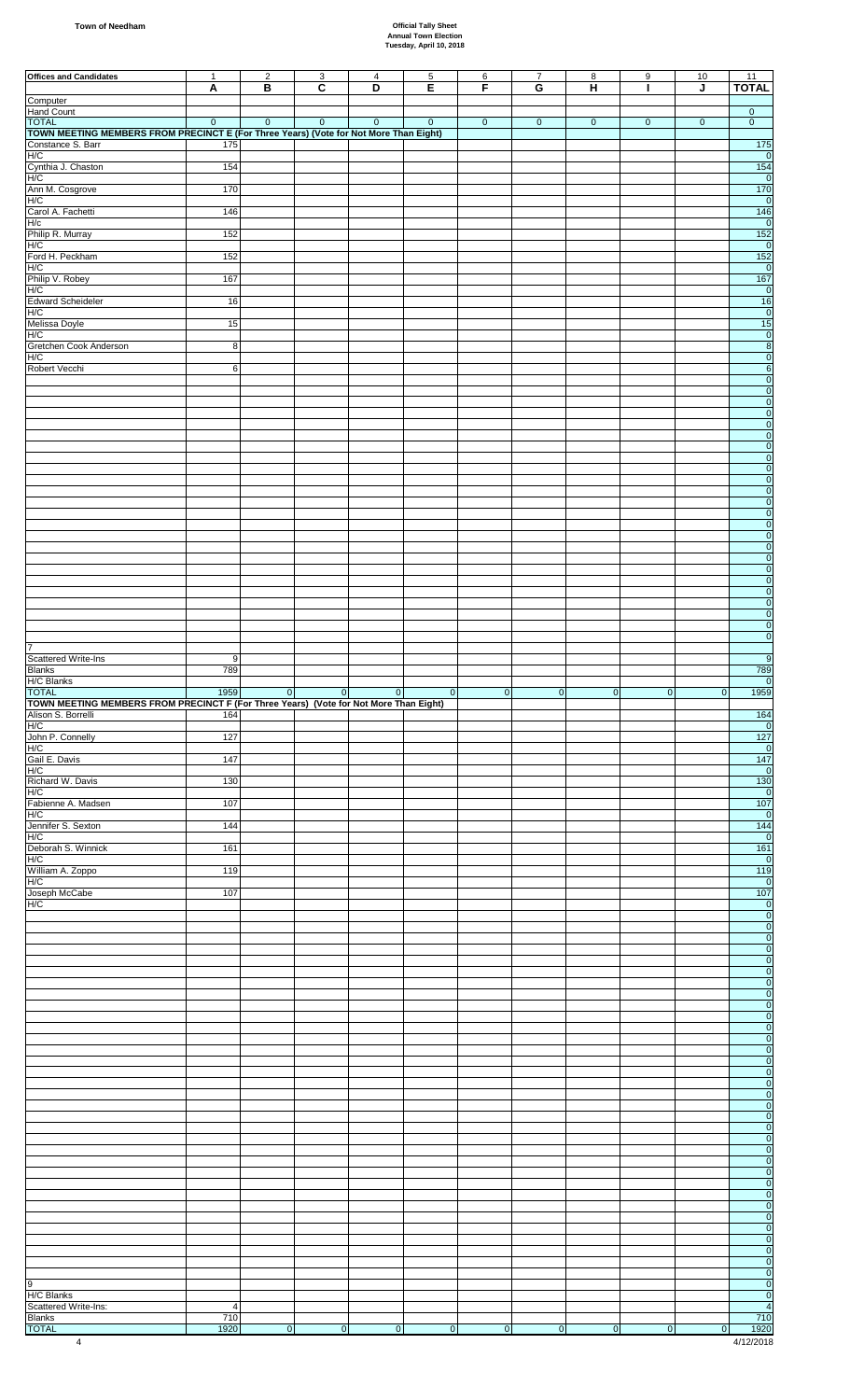| <b>Offices and Candidates</b>                                                                              | $\mathbf{1}$          | $\overline{c}$ |                                           | 4                       |                |                | 7              |                | 9              | 10             | 11                                                                                                                                                                                                                                                                                                                                                                                                                                                                                             |
|------------------------------------------------------------------------------------------------------------|-----------------------|----------------|-------------------------------------------|-------------------------|----------------|----------------|----------------|----------------|----------------|----------------|------------------------------------------------------------------------------------------------------------------------------------------------------------------------------------------------------------------------------------------------------------------------------------------------------------------------------------------------------------------------------------------------------------------------------------------------------------------------------------------------|
|                                                                                                            | A                     | в              | 3<br>$\overline{c}$                       | $\overline{\mathsf{D}}$ | 5<br>Е         | 6<br>F         | G              | 8<br>H         | ı              | J              | <b>TOTAL</b>                                                                                                                                                                                                                                                                                                                                                                                                                                                                                   |
| Computer<br><b>Hand Count</b>                                                                              |                       |                |                                           |                         |                |                |                |                |                |                | $\pmb{0}$                                                                                                                                                                                                                                                                                                                                                                                                                                                                                      |
| <b>TOTAL</b>                                                                                               | $\pmb{0}$             | $\overline{0}$ | $\mathbf 0$                               | $\mathbf 0$             | $\mathbf{0}$   | $\mathbf 0$    | $\mathbf 0$    | $\mathbf 0$    | $\mathbf 0$    | $\bf{0}$       | $\overline{0}$                                                                                                                                                                                                                                                                                                                                                                                                                                                                                 |
| TOWN MEETING MEMBERS FROM PRECINCT E (For Three Years) (Vote for Not More Than Eight)<br>Constance S. Barr | 175                   |                |                                           |                         |                |                |                |                |                |                | $\frac{175}{2}$                                                                                                                                                                                                                                                                                                                                                                                                                                                                                |
| H/C<br>Cynthia J. Chaston                                                                                  | 154                   |                |                                           |                         |                |                |                |                |                |                | $\mathbf 0$<br>154                                                                                                                                                                                                                                                                                                                                                                                                                                                                             |
| H/C                                                                                                        |                       |                |                                           |                         |                |                |                |                |                |                | $\overline{0}$                                                                                                                                                                                                                                                                                                                                                                                                                                                                                 |
| Ann M. Cosgrove<br>H/C                                                                                     | 170                   |                |                                           |                         |                |                |                |                |                |                | 170<br>$\overline{0}$                                                                                                                                                                                                                                                                                                                                                                                                                                                                          |
| Carol A. Fachetti<br>H/c                                                                                   | 146                   |                |                                           |                         |                |                |                |                |                |                | 146<br>$\mathbf 0$                                                                                                                                                                                                                                                                                                                                                                                                                                                                             |
| Philip R. Murray                                                                                           | 152                   |                |                                           |                         |                |                |                |                |                |                | 152                                                                                                                                                                                                                                                                                                                                                                                                                                                                                            |
| H/C<br>Ford H. Peckham                                                                                     | 152                   |                |                                           |                         |                |                |                |                |                |                | $\overline{0}$<br>152                                                                                                                                                                                                                                                                                                                                                                                                                                                                          |
| H/C<br>Philip V. Robey                                                                                     | 167                   |                |                                           |                         |                |                |                |                |                |                | $\pmb{0}$<br>167                                                                                                                                                                                                                                                                                                                                                                                                                                                                               |
| H/C                                                                                                        |                       |                |                                           |                         |                |                |                |                |                |                | $\pmb{0}$                                                                                                                                                                                                                                                                                                                                                                                                                                                                                      |
| <b>Edward Scheideler</b><br>H/C                                                                            | 16                    |                |                                           |                         |                |                |                |                |                |                | 16<br>$\overline{0}$                                                                                                                                                                                                                                                                                                                                                                                                                                                                           |
| Melissa Doyle<br>H/C                                                                                       | 15                    |                |                                           |                         |                |                |                |                |                |                | 15<br>$\overline{0}$                                                                                                                                                                                                                                                                                                                                                                                                                                                                           |
| Gretchen Cook Anderson                                                                                     | $8\phantom{.}$        |                |                                           |                         |                |                |                |                |                |                | $\overline{8}$                                                                                                                                                                                                                                                                                                                                                                                                                                                                                 |
| H/C<br>Robert Vecchi                                                                                       | 6                     |                |                                           |                         |                |                |                |                |                |                | $\bf 0$<br>$6\overline{6}$                                                                                                                                                                                                                                                                                                                                                                                                                                                                     |
|                                                                                                            |                       |                |                                           |                         |                |                |                |                |                |                | $\bf 0$<br>$\overline{\mathbf{0}}$                                                                                                                                                                                                                                                                                                                                                                                                                                                             |
|                                                                                                            |                       |                |                                           |                         |                |                |                |                |                |                | $\overline{\mathbf{0}}$                                                                                                                                                                                                                                                                                                                                                                                                                                                                        |
|                                                                                                            |                       |                |                                           |                         |                |                |                |                |                |                | $\bf 0$<br>$\mathbf 0$                                                                                                                                                                                                                                                                                                                                                                                                                                                                         |
|                                                                                                            |                       |                |                                           |                         |                |                |                |                |                |                | $\bf 0$<br>$\bf{0}$                                                                                                                                                                                                                                                                                                                                                                                                                                                                            |
|                                                                                                            |                       |                |                                           |                         |                |                |                |                |                |                | $\bf 0$                                                                                                                                                                                                                                                                                                                                                                                                                                                                                        |
|                                                                                                            |                       |                |                                           |                         |                |                |                |                |                |                | $\bf{0}$<br>$\bf 0$                                                                                                                                                                                                                                                                                                                                                                                                                                                                            |
|                                                                                                            |                       |                |                                           |                         |                |                |                |                |                |                | $\overline{\mathbf{0}}$<br>$\overline{\mathbf{0}}$                                                                                                                                                                                                                                                                                                                                                                                                                                             |
|                                                                                                            |                       |                |                                           |                         |                |                |                |                |                |                | $\bf 0$                                                                                                                                                                                                                                                                                                                                                                                                                                                                                        |
|                                                                                                            |                       |                |                                           |                         |                |                |                |                |                |                | $\overline{\mathbf{0}}$<br>$\overline{\mathbf{0}}$                                                                                                                                                                                                                                                                                                                                                                                                                                             |
|                                                                                                            |                       |                |                                           |                         |                |                |                |                |                |                | $\mathbf 0$<br>$\overline{0}$                                                                                                                                                                                                                                                                                                                                                                                                                                                                  |
|                                                                                                            |                       |                |                                           |                         |                |                |                |                |                |                | $\pmb{0}$                                                                                                                                                                                                                                                                                                                                                                                                                                                                                      |
|                                                                                                            |                       |                |                                           |                         |                |                |                |                |                |                | $\overline{0}$<br>$\bf 0$                                                                                                                                                                                                                                                                                                                                                                                                                                                                      |
|                                                                                                            |                       |                |                                           |                         |                |                |                |                |                |                | $\pmb{0}$<br>$\overline{0}$                                                                                                                                                                                                                                                                                                                                                                                                                                                                    |
|                                                                                                            |                       |                |                                           |                         |                |                |                |                |                |                | $\mathbf 0$                                                                                                                                                                                                                                                                                                                                                                                                                                                                                    |
| $\overline{7}$                                                                                             |                       |                |                                           |                         |                |                |                |                |                |                | $\pmb{0}$                                                                                                                                                                                                                                                                                                                                                                                                                                                                                      |
| Scattered Write-Ins<br><b>Blanks</b>                                                                       | 9<br>789              |                |                                           |                         |                |                |                |                |                |                | $\overline{9}$<br>789                                                                                                                                                                                                                                                                                                                                                                                                                                                                          |
| H/C Blanks                                                                                                 |                       |                |                                           |                         |                |                |                |                |                |                | $\Omega$                                                                                                                                                                                                                                                                                                                                                                                                                                                                                       |
| <b>TOTAL</b><br>TOWN MEETING MEMBERS FROM PRECINCT F (For Three Years) (Vote for Not More Than Eight)      | 1959                  |                | $\overline{0}$<br>$\overline{\mathbf{0}}$ | $\overline{\mathbf{0}}$ | $\overline{0}$ | $\overline{0}$ | $\overline{0}$ | $\overline{0}$ | $\overline{0}$ | $\overline{0}$ | 1959                                                                                                                                                                                                                                                                                                                                                                                                                                                                                           |
| Alison S. Borrelli                                                                                         | 164                   |                |                                           |                         |                |                |                |                |                |                |                                                                                                                                                                                                                                                                                                                                                                                                                                                                                                |
|                                                                                                            |                       |                |                                           |                         |                |                |                |                |                |                | 164                                                                                                                                                                                                                                                                                                                                                                                                                                                                                            |
| H/C<br>John P. Connelly                                                                                    | 127                   |                |                                           |                         |                |                |                |                |                |                | $\overline{\mathbf{0}}$<br>127                                                                                                                                                                                                                                                                                                                                                                                                                                                                 |
|                                                                                                            | 147                   |                |                                           |                         |                |                |                |                |                |                | $\pmb{0}$                                                                                                                                                                                                                                                                                                                                                                                                                                                                                      |
| H/C<br>Gail E. Davis<br>H/C                                                                                |                       |                |                                           |                         |                |                |                |                |                |                | 147<br>$\overline{0}$                                                                                                                                                                                                                                                                                                                                                                                                                                                                          |
| Richard W. Davis<br>H/C                                                                                    | 130                   |                |                                           |                         |                |                |                |                |                |                | 130<br>$\overline{\mathbf{0}}$                                                                                                                                                                                                                                                                                                                                                                                                                                                                 |
| Fabienne A. Madsen<br>H/C                                                                                  | 107                   |                |                                           |                         |                |                |                |                |                |                | $\frac{107}{10}$<br>$\overline{\mathbf{0}}$                                                                                                                                                                                                                                                                                                                                                                                                                                                    |
| Jennifer S. Sexton                                                                                         | 144                   |                |                                           |                         |                |                |                |                |                |                |                                                                                                                                                                                                                                                                                                                                                                                                                                                                                                |
| H/C<br>Deborah S. Winnick                                                                                  | 161                   |                |                                           |                         |                |                |                |                |                |                | $\frac{144}{0}$<br>161                                                                                                                                                                                                                                                                                                                                                                                                                                                                         |
| H/C<br>William A. Zoppo                                                                                    | 119                   |                |                                           |                         |                |                |                |                |                |                | $\bigcirc$<br>119                                                                                                                                                                                                                                                                                                                                                                                                                                                                              |
| H/C                                                                                                        |                       |                |                                           |                         |                |                |                |                |                |                | $\overline{0}$                                                                                                                                                                                                                                                                                                                                                                                                                                                                                 |
| Joseph McCabe<br>H\C                                                                                       | 107                   |                |                                           |                         |                |                |                |                |                |                | 107<br>$\overline{0}$                                                                                                                                                                                                                                                                                                                                                                                                                                                                          |
|                                                                                                            |                       |                |                                           |                         |                |                |                |                |                |                |                                                                                                                                                                                                                                                                                                                                                                                                                                                                                                |
|                                                                                                            |                       |                |                                           |                         |                |                |                |                |                |                |                                                                                                                                                                                                                                                                                                                                                                                                                                                                                                |
|                                                                                                            |                       |                |                                           |                         |                |                |                |                |                |                |                                                                                                                                                                                                                                                                                                                                                                                                                                                                                                |
|                                                                                                            |                       |                |                                           |                         |                |                |                |                |                |                |                                                                                                                                                                                                                                                                                                                                                                                                                                                                                                |
|                                                                                                            |                       |                |                                           |                         |                |                |                |                |                |                |                                                                                                                                                                                                                                                                                                                                                                                                                                                                                                |
|                                                                                                            |                       |                |                                           |                         |                |                |                |                |                |                |                                                                                                                                                                                                                                                                                                                                                                                                                                                                                                |
|                                                                                                            |                       |                |                                           |                         |                |                |                |                |                |                |                                                                                                                                                                                                                                                                                                                                                                                                                                                                                                |
|                                                                                                            |                       |                |                                           |                         |                |                |                |                |                |                | $\overline{0}$                                                                                                                                                                                                                                                                                                                                                                                                                                                                                 |
|                                                                                                            |                       |                |                                           |                         |                |                |                |                |                |                |                                                                                                                                                                                                                                                                                                                                                                                                                                                                                                |
|                                                                                                            |                       |                |                                           |                         |                |                |                |                |                |                | $\overline{0}$                                                                                                                                                                                                                                                                                                                                                                                                                                                                                 |
|                                                                                                            |                       |                |                                           |                         |                |                |                |                |                |                |                                                                                                                                                                                                                                                                                                                                                                                                                                                                                                |
|                                                                                                            |                       |                |                                           |                         |                |                |                |                |                |                | $\overline{0}$                                                                                                                                                                                                                                                                                                                                                                                                                                                                                 |
|                                                                                                            |                       |                |                                           |                         |                |                |                |                |                |                | $\bf{0}$                                                                                                                                                                                                                                                                                                                                                                                                                                                                                       |
|                                                                                                            |                       |                |                                           |                         |                |                |                |                |                |                |                                                                                                                                                                                                                                                                                                                                                                                                                                                                                                |
|                                                                                                            |                       |                |                                           |                         |                |                |                |                |                |                |                                                                                                                                                                                                                                                                                                                                                                                                                                                                                                |
|                                                                                                            |                       |                |                                           |                         |                |                |                |                |                |                |                                                                                                                                                                                                                                                                                                                                                                                                                                                                                                |
|                                                                                                            |                       |                |                                           |                         |                |                |                |                |                |                |                                                                                                                                                                                                                                                                                                                                                                                                                                                                                                |
|                                                                                                            |                       |                |                                           |                         |                |                |                |                |                |                |                                                                                                                                                                                                                                                                                                                                                                                                                                                                                                |
|                                                                                                            |                       |                |                                           |                         |                |                |                |                |                |                | $\overline{\mathbf{0}}$<br>$\overline{0}$<br>$\pmb{0}$<br>$\mathbf 0$<br>$\overline{0}$<br>$\bf{0}$<br>$\overline{\mathbf{0}}$<br>$\bf 0$<br>$\bf{0}$<br>$\boldsymbol{0}$<br>$\bf{0}$<br>$\bf 0$<br>$\overline{\mathbf{0}}$<br>$\mathbf 0$<br>$\overline{\mathbf{0}}$<br>$\mathbf 0$<br>$\bf{0}$<br>$\overline{0}$<br>$\pmb{0}$<br>$\overline{\mathbf{0}}$<br>$\bf 0$<br>$\bf 0$<br>$\overline{\mathbf{0}}$<br>$\overline{\mathbf{0}}$<br>$\mathbf 0$<br>$\bf 0$<br>$\bf{0}$<br>$\overline{0}$ |
|                                                                                                            |                       |                |                                           |                         |                |                |                |                |                |                |                                                                                                                                                                                                                                                                                                                                                                                                                                                                                                |
|                                                                                                            |                       |                |                                           |                         |                |                |                |                |                |                |                                                                                                                                                                                                                                                                                                                                                                                                                                                                                                |
| 9<br>H/C Blanks<br>Scattered Write-Ins:<br><b>Blanks</b><br><b>TOTAL</b>                                   | $^{4}$<br>710<br>1920 |                |                                           | $\overline{0}$          | $\overline{0}$ |                | $\overline{0}$ | $\overline{0}$ | $\overline{0}$ |                | $\bf 0$<br>$\bf{0}$<br>$\overline{\mathbf{0}}$<br>$\frac{4}{710}$<br>1920                                                                                                                                                                                                                                                                                                                                                                                                                      |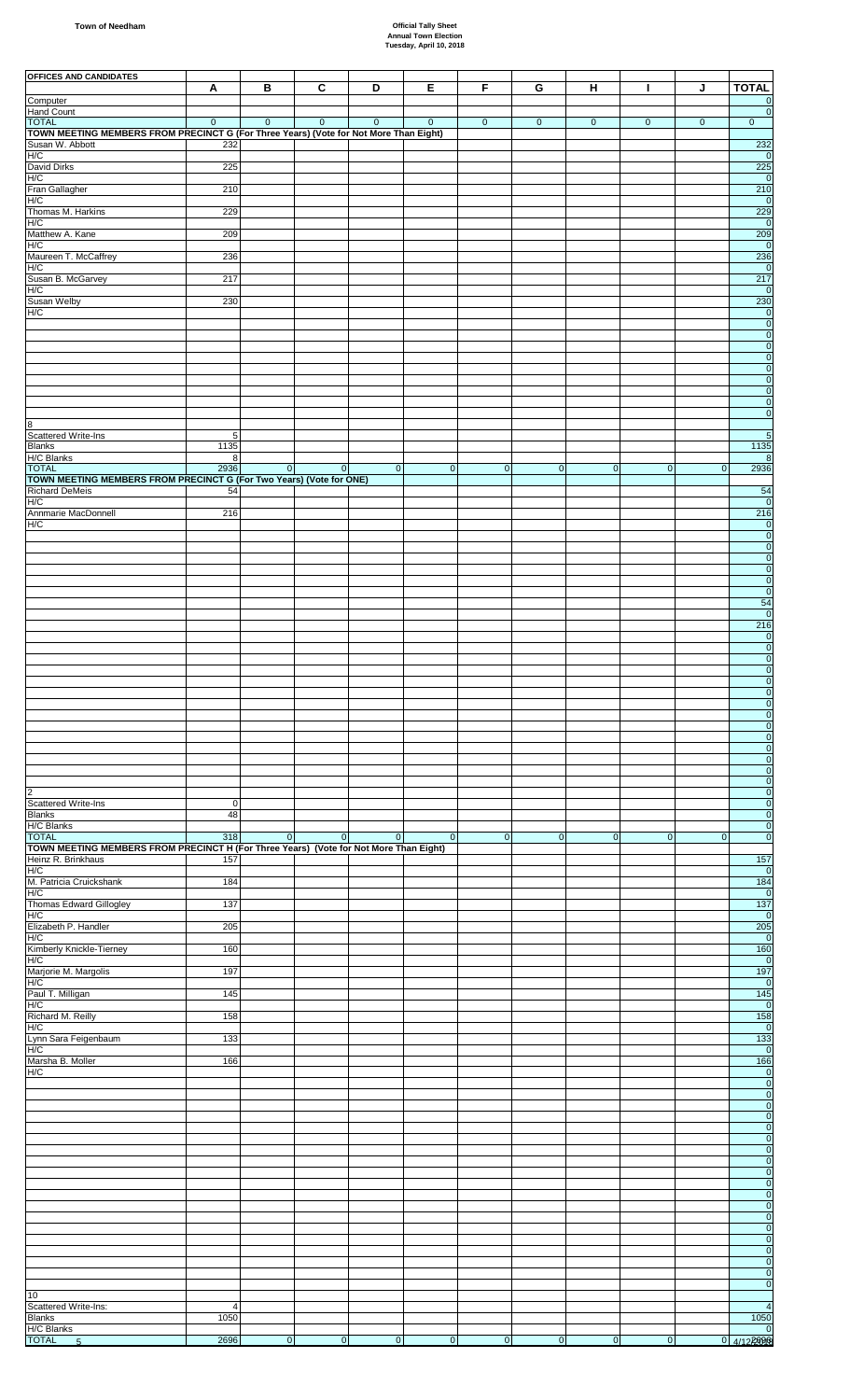| OFFICES AND CANDIDATES                                                                                            |             |                |                |                |                |                |                |                |                |             |                                           |
|-------------------------------------------------------------------------------------------------------------------|-------------|----------------|----------------|----------------|----------------|----------------|----------------|----------------|----------------|-------------|-------------------------------------------|
|                                                                                                                   | Α           | в              | C              | D              | Е              | F              | G              | н              |                | J           | <b>TOTAL</b>                              |
| Computer<br><b>Hand Count</b>                                                                                     |             |                |                |                |                |                |                |                |                |             | 0<br>$\overline{0}$                       |
| <b>TOTAL</b>                                                                                                      | $\mathbf 0$ | $\mathbf{0}$   | $\mathbf 0$    | $\mathbf 0$    | $\mathbf 0$    | $\overline{0}$ | $\mathbf 0$    | $\mathbf 0$    | $\mathbf 0$    | $\mathbf 0$ | $\mathbf 0$                               |
| TOWN MEETING MEMBERS FROM PRECINCT G (For Three Years) (Vote for Not More Than Eight)<br>Susan W. Abbott          | 232         |                |                |                |                |                |                |                |                |             | 232                                       |
| H/C<br><b>David Dirks</b>                                                                                         | 225         |                |                |                |                |                |                |                |                |             | $\mathbf 0$<br>225                        |
| H/C                                                                                                               |             |                |                |                |                |                |                |                |                |             | $\overline{\phantom{0}}$                  |
| Fran Gallagher<br>H/C                                                                                             | 210         |                |                |                |                |                |                |                |                |             | 210<br>$\overline{0}$                     |
| Thomas M. Harkins<br>H/C                                                                                          | 229         |                |                |                |                |                |                |                |                |             | 229<br>$\bf 0$                            |
| Matthew A. Kane                                                                                                   | 209         |                |                |                |                |                |                |                |                |             | 209                                       |
| H/C<br>Maureen T. McCaffrey                                                                                       | 236         |                |                |                |                |                |                |                |                |             | $\overline{\mathbf{0}}$<br>236            |
| H/C                                                                                                               |             |                |                |                |                |                |                |                |                |             | $\mathbf 0$                               |
| Susan B. McGarvey<br>H/C                                                                                          | 217         |                |                |                |                |                |                |                |                |             | 217<br>$\mathbf 0$                        |
| Susan Welby<br>H/C                                                                                                | 230         |                |                |                |                |                |                |                |                |             | 230<br>$\pmb{0}$                          |
|                                                                                                                   |             |                |                |                |                |                |                |                |                |             | $\overline{\mathbf{0}}$                   |
|                                                                                                                   |             |                |                |                |                |                |                |                |                |             | $\bf 0$<br>$\mathbf 0$                    |
|                                                                                                                   |             |                |                |                |                |                |                |                |                |             | $\bf 0$<br>$\bf 0$                        |
|                                                                                                                   |             |                |                |                |                |                |                |                |                |             | $\overline{\mathbf{0}}$                   |
|                                                                                                                   |             |                |                |                |                |                |                |                |                |             | $\overline{\mathbf{0}}$<br>$\mathbf 0$    |
|                                                                                                                   |             |                |                |                |                |                |                |                |                |             | $\overline{0}$                            |
| <b>Scattered Write-Ins</b>                                                                                        | 5           |                |                |                |                |                |                |                |                |             | 5 <sub>5</sub>                            |
| <b>Blanks</b><br>H/C Blanks                                                                                       | 1135<br>8   |                |                |                |                |                |                |                |                |             | 1135<br>8                                 |
| <b>TOTAL</b>                                                                                                      | 2936        | $\overline{0}$ | $\mathbf{0}$   | $\mathbf{0}$   | $\overline{0}$ | $\mathbf 0$    | $\overline{0}$ | $\overline{0}$ | $\overline{0}$ | $\mathbf 0$ | 2936                                      |
| TOWN MEETING MEMBERS FROM PRECINCT G (For Two Years) (Vote for ONE)<br><b>Richard DeMeis</b>                      | 54          |                |                |                |                |                |                |                |                |             | 54                                        |
| H/C<br>Annmarie MacDonnell                                                                                        | 216         |                |                |                |                |                |                |                |                |             | $\overline{0}$<br>216                     |
| H/C                                                                                                               |             |                |                |                |                |                |                |                |                |             | $\overline{0}$                            |
|                                                                                                                   |             |                |                |                |                |                |                |                |                |             | $\overline{0}$<br>$\mathbf 0$             |
|                                                                                                                   |             |                |                |                |                |                |                |                |                |             | $\bf 0$                                   |
|                                                                                                                   |             |                |                |                |                |                |                |                |                |             | $\bf 0$<br>$\overline{\mathbf{0}}$        |
|                                                                                                                   |             |                |                |                |                |                |                |                |                |             | $\bullet$<br>54                           |
|                                                                                                                   |             |                |                |                |                |                |                |                |                |             | $\overline{0}$                            |
|                                                                                                                   |             |                |                |                |                |                |                |                |                |             | 216<br>$\overline{0}$                     |
|                                                                                                                   |             |                |                |                |                |                |                |                |                |             | $\overline{0}$<br>$\mathbf 0$             |
|                                                                                                                   |             |                |                |                |                |                |                |                |                |             | $\mathbf 0$                               |
|                                                                                                                   |             |                |                |                |                |                |                |                |                |             | 0<br>$\bf 0$                              |
|                                                                                                                   |             |                |                |                |                |                |                |                |                |             | $\mathbf 0$<br>$\overline{0}$             |
|                                                                                                                   |             |                |                |                |                |                |                |                |                |             | $\mathbf 0$                               |
|                                                                                                                   |             |                |                |                |                |                |                |                |                |             | $\bf 0$<br>$\overline{\mathbf{0}}$        |
|                                                                                                                   |             |                |                |                |                |                |                |                |                |             | $\bf 0$                                   |
|                                                                                                                   |             |                |                |                |                |                |                |                |                |             | $\bf 0$<br>$\bf 0$                        |
| Scattered Write-Ins                                                                                               | $\mathbf 0$ |                |                |                |                |                |                |                |                |             | $\overline{\mathbf{0}}$<br>$\bf 0$        |
| <b>Blanks</b>                                                                                                     | 48          |                |                |                |                |                |                |                |                |             | $\bf 0$                                   |
| H/C Blanks<br><b>TOTAL</b>                                                                                        | 318         | $\overline{0}$ | $\overline{0}$ | $\overline{0}$ | $\overline{0}$ | $\mathbf{O}$   | $\overline{0}$ | $\overline{0}$ | $\mathbf{0}$   | $\mathbf 0$ | $\mathbf 0$<br>$\bf 0$                    |
| TOWN MEETING MEMBERS FROM PRECINCT H (For Three Years) (Vote for Not More Than Eight)<br>Heinz R. Brinkhaus   157 |             |                |                |                |                |                |                |                |                |             | 157                                       |
| H/C                                                                                                               |             |                |                |                |                |                |                |                |                |             | $\mathbf 0$                               |
| M. Patricia Cruickshank<br>H/C                                                                                    | 184         |                |                |                |                |                |                |                |                |             | 184<br>$\overline{0}$                     |
| Thomas Edward Gillogley<br>H/C                                                                                    | 137         |                |                |                |                |                |                |                |                |             | 137<br>$\overline{0}$                     |
| Elizabeth P. Handler                                                                                              | 205         |                |                |                |                |                |                |                |                |             | 205                                       |
| H/C<br>Kimberly Knickle-Tierney                                                                                   | 160         |                |                |                |                |                |                |                |                |             | $\mathbf 0$<br>160                        |
| H/C                                                                                                               |             |                |                |                |                |                |                |                |                |             | $\pmb{0}$                                 |
| Marjorie M. Margolis<br>H/C                                                                                       | 197         |                |                |                |                |                |                |                |                |             | 197<br>$\overline{0}$                     |
| Paul T. Milligan<br>H/C                                                                                           | 145         |                |                |                |                |                |                |                |                |             | 145<br>$\bf{0}$                           |
| Richard M. Reilly                                                                                                 | 158         |                |                |                |                |                |                |                |                |             | 158                                       |
| H/C<br>Lynn Sara Feigenbaum<br>H/C                                                                                | 133         |                |                |                |                |                |                |                |                |             | $\overline{0}$<br>133                     |
| Marsha B. Moller                                                                                                  | 166         |                |                |                |                |                |                |                |                |             | $\pmb{0}$<br>166                          |
| H/C                                                                                                               |             |                |                |                |                |                |                |                |                |             | $\pmb{0}$                                 |
|                                                                                                                   |             |                |                |                |                |                |                |                |                |             | $\overline{0}$<br>$\bf 0$                 |
|                                                                                                                   |             |                |                |                |                |                |                |                |                |             | $\mathbf 0$<br>$\bf 0$                    |
|                                                                                                                   |             |                |                |                |                |                |                |                |                |             | $\bf{0}$                                  |
|                                                                                                                   |             |                |                |                |                |                |                |                |                |             | $\boldsymbol{0}$<br>$\overline{0}$        |
|                                                                                                                   |             |                |                |                |                |                |                |                |                |             | $\overline{0}$<br>$\overline{\mathbf{0}}$ |
|                                                                                                                   |             |                |                |                |                |                |                |                |                |             | $\overline{0}$                            |
|                                                                                                                   |             |                |                |                |                |                |                |                |                |             | $\bf 0$<br>$\overline{\mathbf{0}}$        |
|                                                                                                                   |             |                |                |                |                |                |                |                |                |             | $\bf 0$                                   |
|                                                                                                                   |             |                |                |                |                |                |                |                |                |             | $\mathbf 0$<br>$\overline{0}$             |
|                                                                                                                   |             |                |                |                |                |                |                |                |                |             | $\mathbf 0$<br>$\boldsymbol{0}$           |
|                                                                                                                   |             |                |                |                |                |                |                |                |                |             | $\overline{0}$                            |
| $\frac{10}{2}$                                                                                                    |             |                |                |                |                |                |                |                |                |             | $\overline{0}$                            |
| Scattered Write-Ins:<br>Blanks                                                                                    | 4<br>1050   |                |                |                |                |                |                |                |                |             | 4 <sub>l</sub><br>1050                    |
| H/C Blanks<br>TOTAL 5                                                                                             |             |                |                |                |                |                |                |                |                |             | $\overline{0}$                            |
|                                                                                                                   | 2696        | $\overline{0}$ | $\overline{0}$ | $\overline{0}$ | $\overline{0}$ | $\overline{0}$ | $\overline{0}$ | $\overline{0}$ | $\overline{0}$ |             | 0 4/12 2009                               |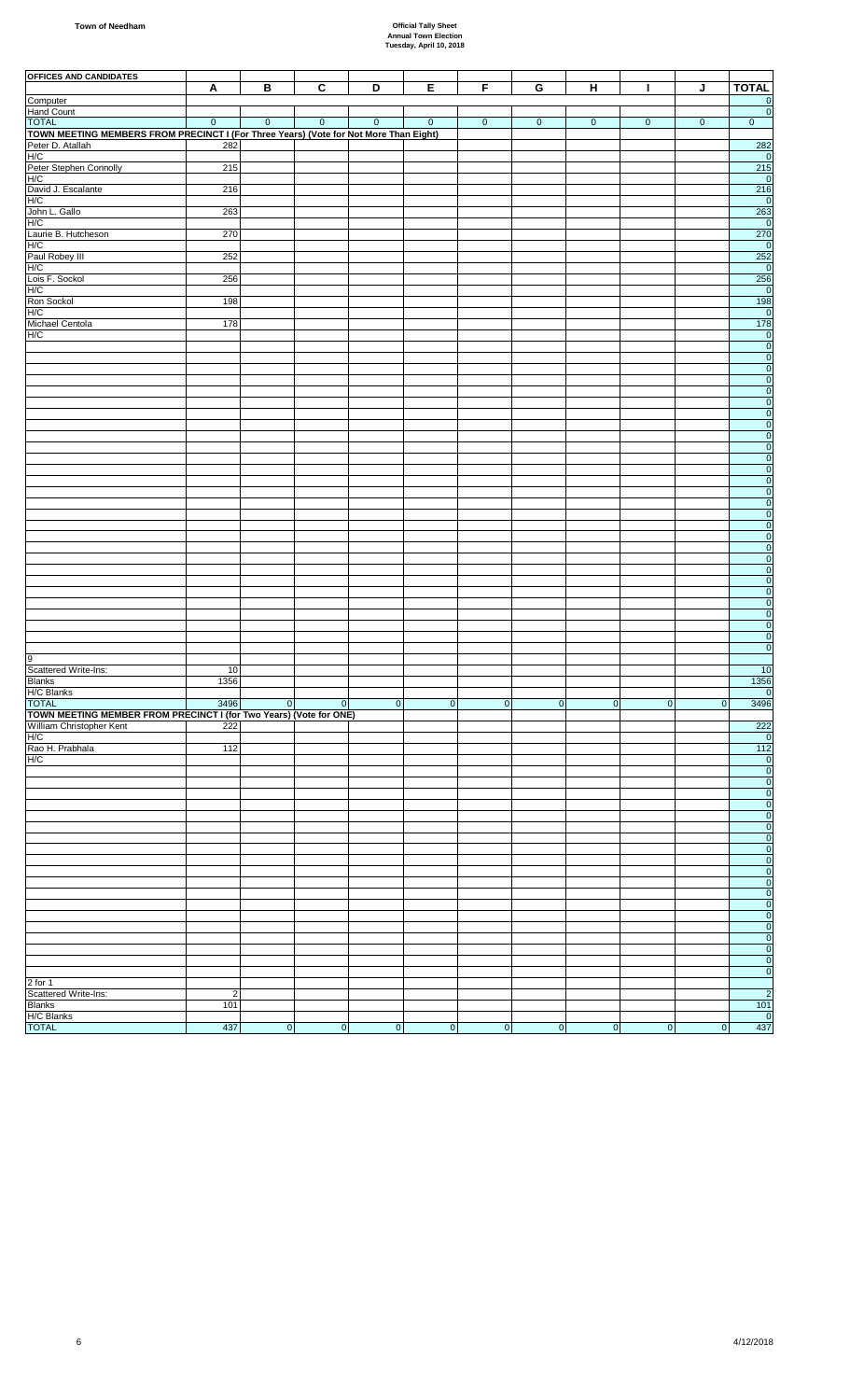| OFFICES AND CANDIDATES                                                                                    |             |                |                |                |                |                |                |                |                |                |                                  |
|-----------------------------------------------------------------------------------------------------------|-------------|----------------|----------------|----------------|----------------|----------------|----------------|----------------|----------------|----------------|----------------------------------|
|                                                                                                           | Α           | B              | C              | D              | Е              | F              | G              | н              | L              | J              | <b>TOTAL</b>                     |
| Computer                                                                                                  |             |                |                |                |                |                |                |                |                |                |                                  |
| <b>Hand Count</b>                                                                                         |             |                |                |                |                |                |                |                |                |                | 0                                |
| <b>TOTAL</b>                                                                                              | $\mathbf 0$ | $\pmb{0}$      | $\mathbf 0$    | $\mathbf 0$    | $\mathbf{0}$   | $\mathbf 0$    | $\mathbf 0$    | $\pmb{0}$      | $\pmb{0}$      | $\mathbf 0$    | $\mathbf 0$                      |
| TOWN MEETING MEMBERS FROM PRECINCT I (For Three Years) (Vote for Not More Than Eight)<br>Peter D. Atallah | 282         |                |                |                |                |                |                |                |                |                | 282                              |
| H/C                                                                                                       |             |                |                |                |                |                |                |                |                |                | $\mathbf 0$                      |
|                                                                                                           | 215         |                |                |                |                |                |                |                |                |                | 215                              |
| Peter Stephen Connolly<br>H/C                                                                             |             |                |                |                |                |                |                |                |                |                | 0                                |
| David J. Escalante                                                                                        | 216         |                |                |                |                |                |                |                |                |                | 216                              |
| H/C                                                                                                       |             |                |                |                |                |                |                |                |                |                | 0                                |
| John L. Gallo                                                                                             | 263         |                |                |                |                |                |                |                |                |                | 263                              |
| H/C                                                                                                       |             |                |                |                |                |                |                |                |                |                | $\overline{0}$                   |
| Laurie B. Hutcheson                                                                                       | 270         |                |                |                |                |                |                |                |                |                | 270                              |
| H/C                                                                                                       |             |                |                |                |                |                |                |                |                |                | $\overline{0}$                   |
| Paul Robey III<br>H/C                                                                                     | 252         |                |                |                |                |                |                |                |                |                | 252<br>$\overline{0}$            |
| Lois F. Sockol                                                                                            | 256         |                |                |                |                |                |                |                |                |                | 256                              |
| H/C                                                                                                       |             |                |                |                |                |                |                |                |                |                | $\overline{0}$                   |
| Ron Sockol                                                                                                | 198         |                |                |                |                |                |                |                |                |                | 198                              |
| H/C                                                                                                       |             |                |                |                |                |                |                |                |                |                | $\mathbf 0$                      |
| Michael Centola                                                                                           | 178         |                |                |                |                |                |                |                |                |                | 178                              |
| H/C                                                                                                       |             |                |                |                |                |                |                |                |                |                | $\overline{0}$                   |
|                                                                                                           |             |                |                |                |                |                |                |                |                |                | $\overline{0}$                   |
|                                                                                                           |             |                |                |                |                |                |                |                |                |                | $\overline{0}$                   |
|                                                                                                           |             |                |                |                |                |                |                |                |                |                | $\bullet$<br>$\pmb{0}$           |
|                                                                                                           |             |                |                |                |                |                |                |                |                |                | $\overline{0}$                   |
|                                                                                                           |             |                |                |                |                |                |                |                |                |                | $\overline{0}$                   |
|                                                                                                           |             |                |                |                |                |                |                |                |                |                | $\overline{\mathbf{0}}$          |
|                                                                                                           |             |                |                |                |                |                |                |                |                |                | $\overline{0}$                   |
|                                                                                                           |             |                |                |                |                |                |                |                |                |                | $\overline{0}$                   |
|                                                                                                           |             |                |                |                |                |                |                |                |                |                | $\overline{0}$                   |
|                                                                                                           |             |                |                |                |                |                |                |                |                |                | $\overline{0}$                   |
|                                                                                                           |             |                |                |                |                |                |                |                |                |                | $\overline{0}$<br>$\overline{0}$ |
|                                                                                                           |             |                |                |                |                |                |                |                |                |                | $\overline{0}$                   |
|                                                                                                           |             |                |                |                |                |                |                |                |                |                | $\overline{0}$                   |
|                                                                                                           |             |                |                |                |                |                |                |                |                |                | $\overline{0}$                   |
|                                                                                                           |             |                |                |                |                |                |                |                |                |                | $\overline{0}$                   |
|                                                                                                           |             |                |                |                |                |                |                |                |                |                | $\overline{0}$                   |
|                                                                                                           |             |                |                |                |                |                |                |                |                |                | $\overline{0}$                   |
|                                                                                                           |             |                |                |                |                |                |                |                |                |                | $\overline{0}$                   |
|                                                                                                           |             |                |                |                |                |                |                |                |                |                | $\overline{0}$                   |
|                                                                                                           |             |                |                |                |                |                |                |                |                |                | $\overline{0}$<br>$\overline{0}$ |
|                                                                                                           |             |                |                |                |                |                |                |                |                |                | $\overline{0}$                   |
|                                                                                                           |             |                |                |                |                |                |                |                |                |                | $\overline{0}$                   |
|                                                                                                           |             |                |                |                |                |                |                |                |                |                | $\overline{0}$                   |
|                                                                                                           |             |                |                |                |                |                |                |                |                |                | $\overline{0}$                   |
|                                                                                                           |             |                |                |                |                |                |                |                |                |                | $\overline{0}$                   |
| 9                                                                                                         |             |                |                |                |                |                |                |                |                |                |                                  |
| Scattered Write-Ins:<br>Blanks                                                                            | 10          |                |                |                |                |                |                |                |                |                | 10                               |
|                                                                                                           | 1356        |                |                |                |                |                |                |                |                |                | 1356                             |
| H/C Blanks<br><b>TOTAL</b>                                                                                |             | $\overline{0}$ | $\overline{0}$ | $\mathbf 0$    | $\mathbf 0$    | $\mathbf 0$    | $\overline{0}$ | $\overline{0}$ | $\mathbf 0$    | $\overline{0}$ | $\vert$ 0                        |
| TOWN MEETING MEMBER FROM PRECINCT I (for Two Years) (Vote for ONE)                                        | 3496        |                |                |                |                |                |                |                |                |                | 3496                             |
| William Christopher Kent                                                                                  | 222         |                |                |                |                |                |                |                |                |                | 222                              |
| H/C                                                                                                       |             |                |                |                |                |                |                |                |                |                | 0                                |
| Rao H. Prabhala                                                                                           | 112         |                |                |                |                |                |                |                |                |                | 112                              |
| H/C                                                                                                       |             |                |                |                |                |                |                |                |                |                | $\overline{0}$                   |
|                                                                                                           |             |                |                |                |                |                |                |                |                |                | $\overline{0}$                   |
|                                                                                                           |             |                |                |                |                |                |                |                |                |                | $\overline{\mathbf{0}}$          |
|                                                                                                           |             |                |                |                |                |                |                |                |                |                | $\bf 0$                          |
|                                                                                                           |             |                |                |                |                |                |                |                |                |                | $\bf 0$<br>$\overline{0}$        |
|                                                                                                           |             |                |                |                |                |                |                |                |                |                | $\overline{0}$                   |
|                                                                                                           |             |                |                |                |                |                |                |                |                |                | $\mathbf 0$                      |
|                                                                                                           |             |                |                |                |                |                |                |                |                |                | $\overline{0}$                   |
|                                                                                                           |             |                |                |                |                |                |                |                |                |                | $\bf 0$                          |
|                                                                                                           |             |                |                |                |                |                |                |                |                |                | $\overline{0}$                   |
|                                                                                                           |             |                |                |                |                |                |                |                |                |                | $\overline{\mathbf{0}}$          |
|                                                                                                           |             |                |                |                |                |                |                |                |                |                | $\overline{0}$<br>$\overline{0}$ |
|                                                                                                           |             |                |                |                |                |                |                |                |                |                |                                  |
|                                                                                                           |             |                |                |                |                |                |                |                |                |                | $\frac{0}{0}$                    |
|                                                                                                           |             |                |                |                |                |                |                |                |                |                | $\overline{0}$                   |
|                                                                                                           |             |                |                |                |                |                |                |                |                |                | $\overline{0}$                   |
|                                                                                                           |             |                |                |                |                |                |                |                |                |                | $\overline{0}$                   |
|                                                                                                           |             |                |                |                |                |                |                |                |                |                | $\overline{0}$                   |
| 2 for 1                                                                                                   |             |                |                |                |                |                |                |                |                |                |                                  |
| Scattered Write-Ins:<br><b>Blanks</b>                                                                     | 2<br>101    |                |                |                |                |                |                |                |                |                | $\overline{2}$<br>101            |
| H/C Blanks                                                                                                |             |                |                |                |                |                |                |                |                |                | $\overline{\phantom{0}}$         |
| <b>TOTAL</b>                                                                                              | 437         | $\overline{0}$ | $\overline{0}$ | $\overline{0}$ | $\overline{0}$ | $\overline{0}$ | $\overline{0}$ | $\overline{0}$ | $\overline{0}$ | $\overline{0}$ | 437                              |